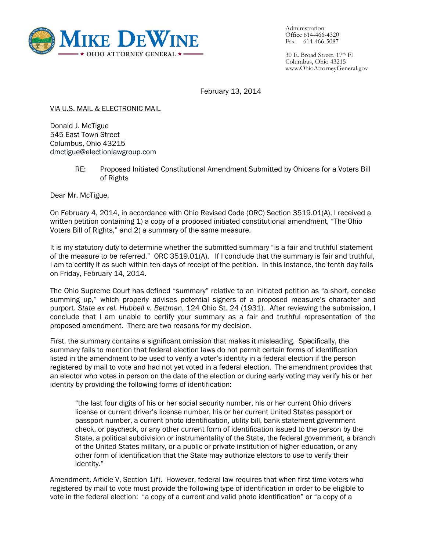

Administration Office 614-466-4320 Fax 614-466-5087

30 E. Broad Street, 17th Fl Columbus, Ohio 43215 www.OhioAttorneyGeneral.gov

February 13, 2014

VIA U.S. MAIL & ELECTRONIC MAIL

Donald J. McTigue 545 East Town Street Columbus, Ohio 43215 dmctigue@electionlawgroup.com

> RE: Proposed Initiated Constitutional Amendment Submitted by Ohioans for a Voters Bill of Rights

Dear Mr. McTigue,

On February 4, 2014, in accordance with Ohio Revised Code (ORC) Section 3519.01(A), I received a written petition containing 1) a copy of a proposed initiated constitutional amendment, "The Ohio Voters Bill of Rights," and 2) a summary of the same measure.

It is my statutory duty to determine whether the submitted summary "is a fair and truthful statement of the measure to be referred." ORC 3519.01(A). If I conclude that the summary is fair and truthful, I am to certify it as such within ten days of receipt of the petition. In this instance, the tenth day falls on Friday, February 14, 2014.

The Ohio Supreme Court has defined "summary" relative to an initiated petition as "a short, concise summing up," which properly advises potential signers of a proposed measure's character and purport. *State ex rel. Hubbell v. Bettman*, 124 Ohio St. 24 (1931). After reviewing the submission, I conclude that I am unable to certify your summary as a fair and truthful representation of the proposed amendment. There are two reasons for my decision.

First, the summary contains a significant omission that makes it misleading. Specifically, the summary fails to mention that federal election laws do not permit certain forms of identification listed in the amendment to be used to verify a voter's identity in a federal election if the person registered by mail to vote and had not yet voted in a federal election. The amendment provides that an elector who votes in person on the date of the election or during early voting may verify his or her identity by providing the following forms of identification:

"the last four digits of his or her social security number, his or her current Ohio drivers license or current driver's license number, his or her current United States passport or passport number, a current photo identification, utility bill, bank statement government check, or paycheck, or any other current form of identification issued to the person by the State, a political subdivision or instrumentality of the State, the federal government, a branch of the United States military, or a public or private institution of higher education, or any other form of identification that the State may authorize electors to use to verify their identity."

Amendment, Article V, Section 1(f). However, federal law requires that when first time voters who registered by mail to vote must provide the following type of identification in order to be eligible to vote in the federal election: "a copy of a current and valid photo identification" or "a copy of a